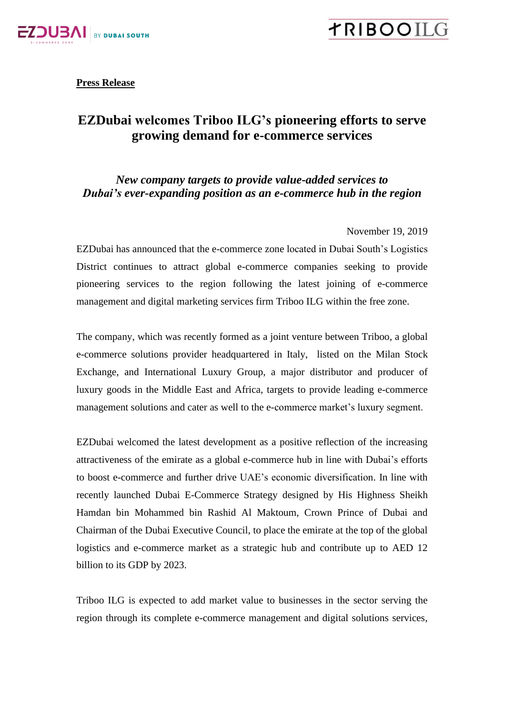

**TRIBOOIL** 

**Press Release**

## **EZDubai welcomes Triboo ILG's pioneering efforts to serve growing demand for e-commerce services**

## *New company targets to provide value-added services to Dubai's ever-expanding position as an e-commerce hub in the region*

November 19, 2019

EZDubai has announced that the e-commerce zone located in Dubai South's Logistics District continues to attract global e-commerce companies seeking to provide pioneering services to the region following the latest joining of e-commerce management and digital marketing services firm Triboo ILG within the free zone.

The company, which was recently formed as a joint venture between Triboo, a global e-commerce solutions provider headquartered in Italy, listed on the Milan Stock Exchange, and International Luxury Group, a major distributor and producer of luxury goods in the Middle East and Africa, targets to provide leading e-commerce management solutions and cater as well to the e-commerce market's luxury segment.

EZDubai welcomed the latest development as a positive reflection of the increasing attractiveness of the emirate as a global e-commerce hub in line with Dubai's efforts to boost e-commerce and further drive UAE's economic diversification. In line with recently launched Dubai E-Commerce Strategy designed by His Highness Sheikh Hamdan bin Mohammed bin Rashid Al Maktoum, Crown Prince of Dubai and Chairman of the Dubai Executive Council, to place the emirate at the top of the global logistics and e-commerce market as a strategic hub and contribute up to AED 12 billion to its GDP by 2023.

Triboo ILG is expected to add market value to businesses in the sector serving the region through its complete e-commerce management and digital solutions services,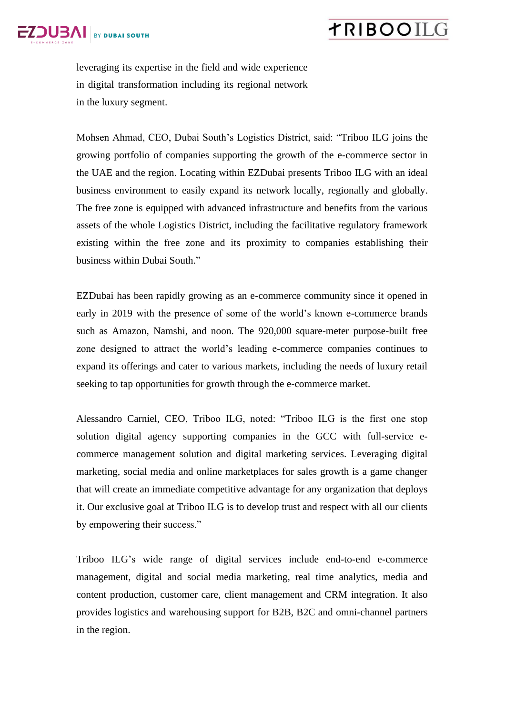

## **TRIBOOIL**

leveraging its expertise in the field and wide experience in digital transformation including its regional network in the luxury segment.

Mohsen Ahmad, CEO, Dubai South's Logistics District, said: "Triboo ILG joins the growing portfolio of companies supporting the growth of the e-commerce sector in the UAE and the region. Locating within EZDubai presents Triboo ILG with an ideal business environment to easily expand its network locally, regionally and globally. The free zone is equipped with advanced infrastructure and benefits from the various assets of the whole Logistics District, including the facilitative regulatory framework existing within the free zone and its proximity to companies establishing their business within Dubai South."

EZDubai has been rapidly growing as an e-commerce community since it opened in early in 2019 with the presence of some of the world's known e-commerce brands such as Amazon, Namshi, and noon. The 920,000 square-meter purpose-built free zone designed to attract the world's leading e-commerce companies continues to expand its offerings and cater to various markets, including the needs of luxury retail seeking to tap opportunities for growth through the e-commerce market.

Alessandro Carniel, CEO, Triboo ILG, noted: "Triboo ILG is the first one stop solution digital agency supporting companies in the GCC with full-service ecommerce management solution and digital marketing services. Leveraging digital marketing, social media and online marketplaces for sales growth is a game changer that will create an immediate competitive advantage for any organization that deploys it. Our exclusive goal at Triboo ILG is to develop trust and respect with all our clients by empowering their success."

Triboo ILG's wide range of digital services include end-to-end e-commerce management, digital and social media marketing, real time analytics, media and content production, customer care, client management and CRM integration. It also provides logistics and warehousing support for B2B, B2C and omni-channel partners in the region.